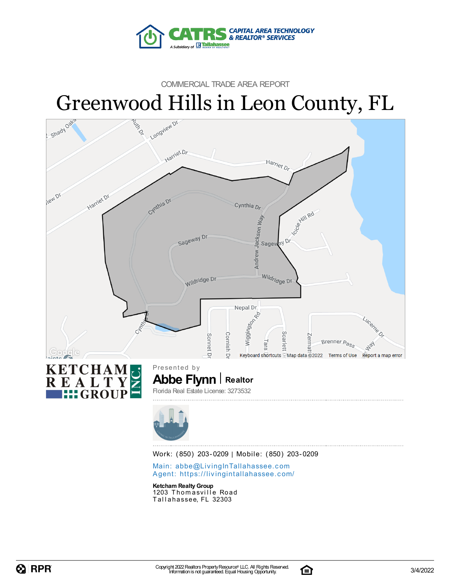

### COMMERCIAL TRADE AREA REPORT



Main: abbe@LivingInTallaha[sse](mailto:abbe@LivingInTallahassee.com)e.com Agent: https://livingintallaha[sse](https://livingintallahassee.com/)e.com/

**Ketcham RealtyGroup** 1203 Thomasville Road Tallahassee, FL 32303

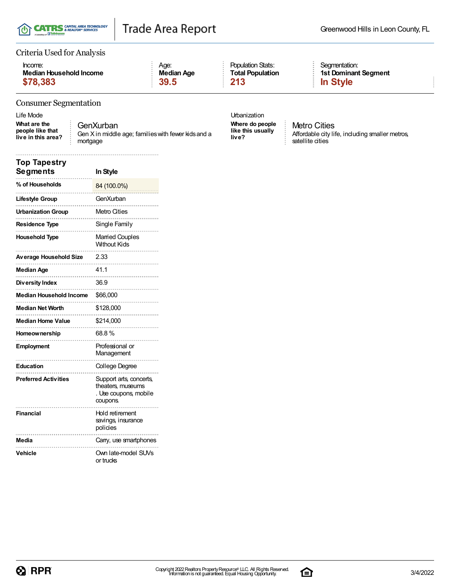

### Criteria Used for Analysis

| Income:                 | Aae:       | <b>Population Stats:</b> | Seamentation    |
|-------------------------|------------|--------------------------|-----------------|
| Median Household Income | Median Age | <b>Total Population</b>  | 1st Domina      |
| \$78,383                | 39.5       | $\blacksquare$ 213       | <b>In Style</b> |

#### Consumer Segmentation

Life Mode **Urbanization** 

**What are the people like that live in this area?** GenXurban Gen X in middle age; families with fewer kids and a mortgage

Segmentation: **1st Dominant Segment**

**Where do people like this usually live?**

Metro Cities Affordable city life, including smaller metros, satellite cities

| Top Tapestry<br><b>Segments</b> | In Style                                                                          |
|---------------------------------|-----------------------------------------------------------------------------------|
| % of Households                 | 84 (100.0%)<br>.                                                                  |
| Lifestyle Group                 | GenXurban                                                                         |
| <b>Urbanization Group</b>       | Metro Cities                                                                      |
| Residence Type                  | Single Family                                                                     |
| <b>Household Type</b>           | <b>Married Couples</b><br><b>Without Kids</b>                                     |
| <b>Average Household Size</b>   | 2.33                                                                              |
| Median Age                      | 41.1                                                                              |
| Diversity Index                 | 36.9                                                                              |
| <b>Median Household Income</b>  | \$66,000                                                                          |
| <b>Median Net Worth</b>         | \$128,000                                                                         |
| <b>Median Home Value</b>        | \$214,000                                                                         |
| Homeownership                   | 68.8%                                                                             |
| <b>Employment</b>               | Professional or<br>Management                                                     |
| Education                       | College Degree                                                                    |
| <b>Preferred Activities</b>     | Support arts, concerts,<br>theaters, museums<br>. Use coupons, mobile<br>coupons. |
| Financial                       | Hold retirement<br>savings, insurance<br>policies                                 |
| Media                           | Carry, use smartphones                                                            |
| Vehicle                         | Own late-model SUVs<br>or trucks                                                  |

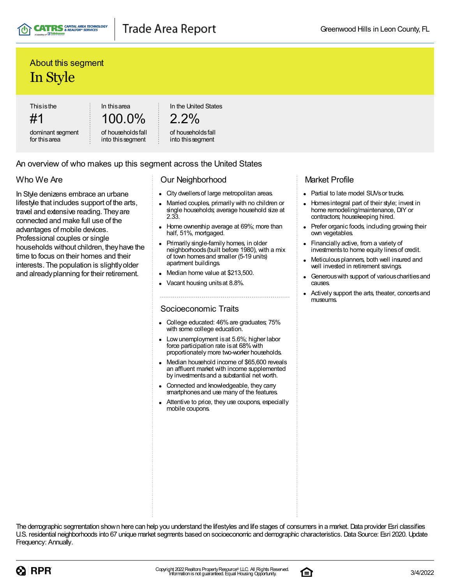

### Trade Area Report

### About this segment In Style

**Thisisthe** 

#1 dominant segment for thisarea

100.0% of householdsfall

into thissegment

In thisarea

In the United States

```
2.2%
```
#### of householdsfall into thissegment

### An overview of who makes up this segment across the United States

### Who We Are

In Style denizens embrace an urbane lifestyle that includes support of the arts, travel and extensive reading. Theyare connected and make full use of the advantages of mobile devices. Professional couples or single households without children, theyhave the time to focus on their homes and their interests. The population is slightlyolder and alreadyplanning for their retirement.

### Our Neighborhood

- City dwellersof large metropolitan areas.
- Married couples, primarily with no children or single households; average household size at 2.33.
- Home ownership average at 69%; more than half, 51%, mortgaged.
- Primarily single-family homes, in older neighborhoods(built before 1980), with a mix of town homesand smaller (5-19 units) apartment buildings.
- Median home value at \$213,500.
- Vacant housing unitsat 8.8%.

### Socioeconomic Traits

- College educated: 46%are graduates; 75% with some college education.
- Lowunemployment isat 5.6%; higher labor force participation rate is at 68% with proportionately more two-worker households.
- Median household income of \$65,600 reveals an affluent market with income supplemented by investmentsand a substantial net worth.
- Connected and knowledgeable, they carry smartphones and use many of the features.
- Attentive to price, they use coupons, especially mobile coupons.

### Market Profile

- Partial to late model SUVs or trucks.
- Homes integral part of their style; invest in  $\bullet$ home remodeling/maintenance, DIY or contractors; housekeeping hired.
- Prefer organic foods, including growing their own vegetables.
- Financially active, from a variety of investments to home equity lines of credit.
- Meticulousplanners, both well insured and well invested in retirement savings.
- Generous with support of various charities and causes.
- Actively support the arts, theater, concertsand museums.

The demographic segmentation shown here can help you understand the lifestyles and life stages of consumers in a market. Data provider Esri classifies U.S. residential neighborhoods into 67 unique market segments based on socioeconomic and demographic characteristics. Data Source: Esri 2020. Update Frequency: Annually.



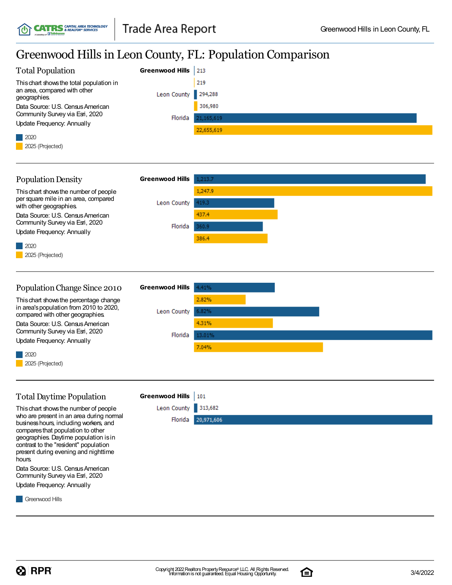**CATRS** & REALTOR® SERVICES

# Greenwood Hills in Leon County, FL: Population Comparison

| <b>Total Population</b>                                                                                                                                                                                                                                                                              | <b>Greenwood Hills</b> | 213                   |
|------------------------------------------------------------------------------------------------------------------------------------------------------------------------------------------------------------------------------------------------------------------------------------------------------|------------------------|-----------------------|
| This chart shows the total population in<br>an area, compared with other<br>geographies.                                                                                                                                                                                                             | Leon County            | 219<br>294,288        |
| Data Source: U.S. Census American<br>Community Survey via Esri, 2020<br>Update Frequency: Annually                                                                                                                                                                                                   | Florida                | 306,980<br>21,165,619 |
| 2020<br>2025 (Projected)                                                                                                                                                                                                                                                                             |                        | 22,655,619            |
| <b>Population Density</b>                                                                                                                                                                                                                                                                            | <b>Greenwood Hills</b> | 1,213.7               |
| This chart shows the number of people<br>per square mile in an area, compared<br>with other geographies.                                                                                                                                                                                             | Leon County            | 1,247.9<br>419.3      |
| Data Source: U.S. Census American<br>Community Survey via Esri, 2020<br>Update Frequency: Annually                                                                                                                                                                                                   | Florida                | 437.4<br>360.9        |
| 2020<br>2025 (Projected)                                                                                                                                                                                                                                                                             |                        | 386.4                 |
| Population Change Since 2010                                                                                                                                                                                                                                                                         | <b>Greenwood Hills</b> | 4.41%                 |
| This chart shows the percentage change<br>in area's population from 2010 to 2020,<br>compared with other geographies.                                                                                                                                                                                | Leon County            | 2.82%<br>6.82%        |
| Data Source: U.S. Census American<br>Community Survey via Esri, 2020<br><b>Update Frequency: Annually</b>                                                                                                                                                                                            | Florida                | 4.31%<br>13.01%       |
| 2020<br>2025 (Projected)                                                                                                                                                                                                                                                                             |                        | 7.04%                 |
| <b>Total Daytime Population</b>                                                                                                                                                                                                                                                                      | <b>Greenwood Hills</b> | 101                   |
| This chart shows the number of people<br>who are present in an area during normal<br>business hours, including workers, and<br>compares that population to other<br>geographies. Daytime population is in<br>contrast to the "resident" population<br>present during evening and nighttime<br>hours. | Leon County<br>Florida | 313,682<br>20,971,606 |
| Data Source: U.S. Census American<br>Community Survey via Esri, 2020<br>Update Frequency: Annually                                                                                                                                                                                                   |                        |                       |
| Greenwood Hills                                                                                                                                                                                                                                                                                      |                        |                       |

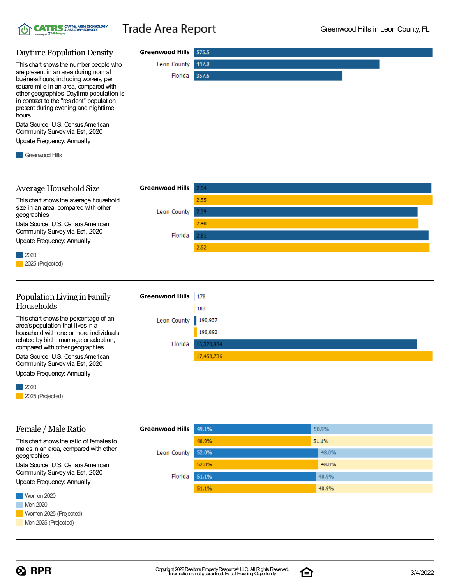| Daytime Population Density                                                        | Greenwood Hills 575.5 |       |
|-----------------------------------------------------------------------------------|-----------------------|-------|
| This chart shows the number people who                                            | Leon County 447.0     |       |
| are present in an area during normal<br>business hours, including workers, per    | Florida               | 357.6 |
| square mile in an area, compared with<br>other geographies. Daytime population is |                       |       |
| in contrast to the "resident" population<br>present during evening and nighttime  |                       |       |
| hours.                                                                            |                       |       |
| Data Source: U.S. Census American<br>Community Survey via Esri, 2020              |                       |       |
| Update Frequency: Annually                                                        |                       |       |

Greenwood Hills

| Average Household Size                                        | <b>Greenwood Hills</b> | 2.54 |
|---------------------------------------------------------------|------------------------|------|
| This chart shows the average household                        |                        | 2.55 |
| size in an area, compared with other<br>geographies.          | Leon County            | 2.39 |
| Data Source: U.S. Census American                             |                        | 2.40 |
| Community Survey via Esri, 2020<br>Update Frequency: Annually | Florida                | 2.51 |
|                                                               |                        | 2.52 |
| $2020$<br>2025 (Projected)                                    |                        |      |
|                                                               |                        |      |

#### Population Living in Family **Greenwood Hills** 178 Households 183 This chart shows the percentage of an Leon County 190,937 area'spopulation that livesin a 198,892 household with one or more individuals related by birth, marriage or adoption, Florida 16,320,904 compared with other geographies. Data Source: U.S. Census American 17,458,736 Community Survey via Esri, 2020

Update Frequency: Annually



| Female / Male Ratio                                           | <b>Greenwood Hills</b> | 49.1% | 50.9% |
|---------------------------------------------------------------|------------------------|-------|-------|
| This chart shows the ratio of females to                      |                        | 48.9% | 51.1% |
| males in an area, compared with other<br>geographies.         | Leon County            | 52.0% | 48.0% |
| Data Source: U.S. Census American                             |                        | 52.0% | 48.0% |
| Community Survey via Esri, 2020<br>Update Frequency: Annually | Florida                | 51.1% | 48.9% |
|                                                               |                        | 51.1% | 48.9% |
| Women 2020                                                    |                        |       |       |
| Men 2020                                                      |                        |       |       |
| Women 2025 (Projected)                                        |                        |       |       |
| Men 2025 (Projected)                                          |                        |       |       |

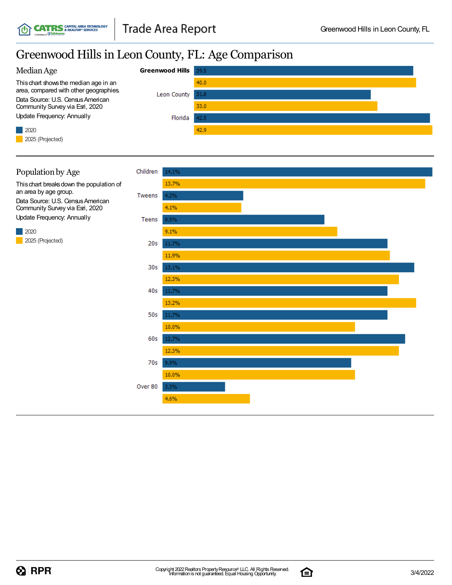## Greenwood Hills in Leon County, FL: Age Comparison



### 2020 Population by Age Thischart breaksdown the population of an area by age group. Data Source: U.S. Census American Community Survey via Esri, 2020 Update Frequency: Annually

**CATRS** CAPITAL AREA TECHNOLOGY

2025 (Projected)



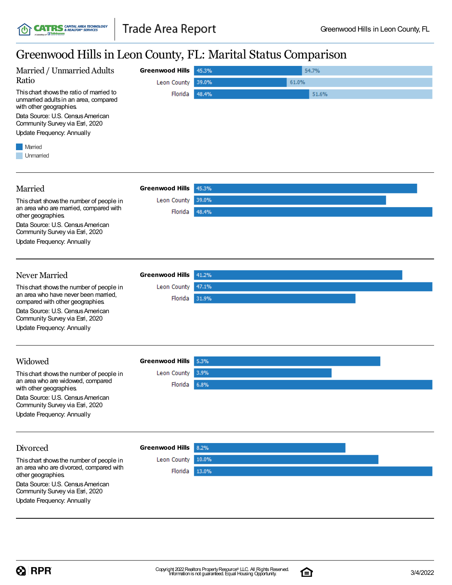### Greenwood Hillsin Leon County, FL: Marital Status Comparison

| Steelwood This in Beon County, T.B. Marriar Status Comparison                                                                                                                                                      |                        |       |       |  |
|--------------------------------------------------------------------------------------------------------------------------------------------------------------------------------------------------------------------|------------------------|-------|-------|--|
| Married / Unmarried Adults                                                                                                                                                                                         | <b>Greenwood Hills</b> | 45.3% | 54.7% |  |
| Ratio                                                                                                                                                                                                              | Leon County            | 39.0% | 61.0% |  |
| This chart shows the ratio of married to<br>unmarried adults in an area, compared<br>with other geographies.<br>Data Source: U.S. Census American<br>Community Survey via Esri, 2020<br>Update Frequency: Annually | Florida                | 48.4% | 51.6% |  |
| Married<br>Unmarried                                                                                                                                                                                               |                        |       |       |  |
| Married                                                                                                                                                                                                            | <b>Greenwood Hills</b> | 45.3% |       |  |
| This chart shows the number of people in                                                                                                                                                                           | Leon County            | 39.0% |       |  |
| an area who are married, compared with<br>other geographies.                                                                                                                                                       | Florida                | 48.4% |       |  |
| Data Source: U.S. Census American<br>Community Survey via Esri, 2020<br>Update Frequency: Annually                                                                                                                 |                        |       |       |  |
|                                                                                                                                                                                                                    |                        |       |       |  |
| Never Married                                                                                                                                                                                                      | <b>Greenwood Hills</b> | 41.2% |       |  |
| This chart shows the number of people in<br>an area who have never been married.                                                                                                                                   | Leon County            | 47.1% |       |  |
| compared with other geographies.                                                                                                                                                                                   | Florida                | 31.9% |       |  |
| Data Source: U.S. Census American<br>Community Survey via Esri, 2020                                                                                                                                               |                        |       |       |  |
| Update Frequency: Annually                                                                                                                                                                                         |                        |       |       |  |
| Widowed                                                                                                                                                                                                            | <b>Greenwood Hills</b> | 5.3%  |       |  |
| This chart shows the number of people in                                                                                                                                                                           | Leon County            | 3.9%  |       |  |
| an area who are widowed, compared<br>with other geographies.                                                                                                                                                       | Florida                | 6.8%  |       |  |
| Data Source: U.S. Census American<br>Community Survey via Esri, 2020                                                                                                                                               |                        |       |       |  |
| Update Frequency: Annually                                                                                                                                                                                         |                        |       |       |  |
| Divorced                                                                                                                                                                                                           | <b>Greenwood Hills</b> | 8.2%  |       |  |
| This chart shows the number of people in                                                                                                                                                                           | Leon County            | 10.0% |       |  |
| an area who are divorced, compared with<br>other geographies.                                                                                                                                                      | Florida                | 13.0% |       |  |
| Data Source: U.S. Census American<br>Community Survey via Esri, 2020                                                                                                                                               |                        |       |       |  |
| Update Frequency: Annually                                                                                                                                                                                         |                        |       |       |  |

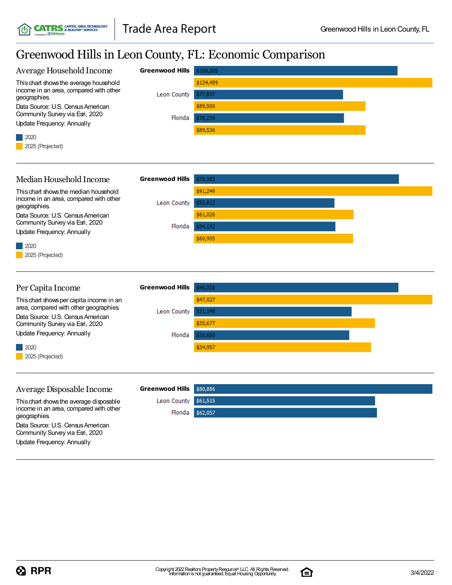**CATRS** CAPITAL AREA TECHNOLOGY

# Greenwood Hills in Leon County, FL: Economic Comparison

| Average Household Income                                                                                                                     | <b>Greenwood Hills</b> | \$106,305                        |  |
|----------------------------------------------------------------------------------------------------------------------------------------------|------------------------|----------------------------------|--|
| This chart shows the average household<br>income in an area, compared with other<br>geographies.                                             | Leon County            | \$124,459<br>\$77,837            |  |
| Data Source: U.S. Census American<br>Community Survey via Esri, 2020<br>Update Frequency: Annually                                           | Florida                | \$89,500<br>\$78,239             |  |
| 2020<br>2025 (Projected)                                                                                                                     |                        | \$89,536                         |  |
| Median Household Income                                                                                                                      | <b>Greenwood Hills</b> | \$78,383                         |  |
| This chart shows the median household<br>income in an area, compared with other<br>geographies.                                              | Leon County            | \$91,249<br>\$53,812             |  |
| Data Source: U.S. Census American<br>Community Survey via Esri, 2020<br>Update Frequency: Annually                                           | Florida                | \$61,026<br>\$54,192<br>\$60,905 |  |
| 2020<br>2025 (Projected)                                                                                                                     |                        |                                  |  |
|                                                                                                                                              |                        |                                  |  |
|                                                                                                                                              | <b>Greenwood Hills</b> |                                  |  |
| Per Capita Income<br>This chart shows per capita income in an<br>area, compared with other geographies.<br>Data Source: U.S. Census American | Leon County            | \$40,338<br>\$47,027<br>\$31,148 |  |
| Community Survey via Esri, 2020<br>Update Frequency: Annually                                                                                | Florida                | \$35,677<br>\$30,650             |  |
| 2020<br>2025 (Projected)                                                                                                                     |                        | \$34,957                         |  |
| Average Disposable Income                                                                                                                    | <b>Greenwood Hills</b> | \$80,886                         |  |
| This chart shows the average disposable<br>income in an area, compared with other<br>geographies.                                            | Leon County<br>Florida | \$61,515<br>\$62,057             |  |
| Data Source: U.S. Census American<br>Community Survey via Esri, 2020<br>Update Frequency: Annually                                           |                        |                                  |  |

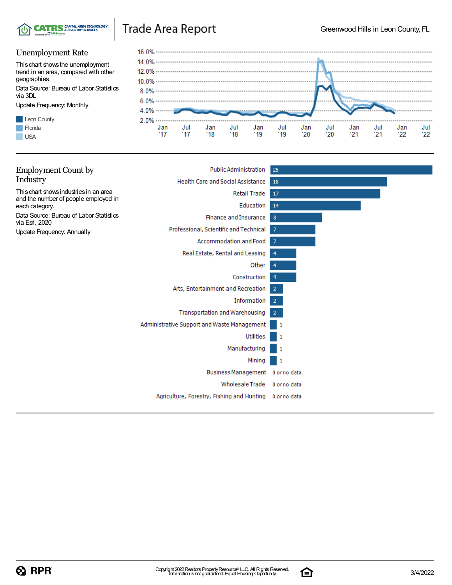

## Trade Area Report

### Unemployment Rate

Thischart showsthe unemployment trend in an area, compared with other geographies. Data Source: Bureau of Labor Statistics

via 3DL

Update Frequency: Monthly





| <b>Employment Count by</b>                                                     | <b>Public Administration</b>                | 25             |
|--------------------------------------------------------------------------------|---------------------------------------------|----------------|
| Industry                                                                       | <b>Health Care and Social Assistance</b>    | 18             |
| This chart shows industries in an area<br>and the number of people employed in | Retail Trade                                | 17             |
| each category.                                                                 | Education                                   | 14             |
| Data Source: Bureau of Labor Statistics<br>via Esri, 2020                      | <b>Finance and Insurance</b>                | 8              |
| <b>Update Frequency: Annually</b>                                              | Professional, Scientific and Technical      | $\overline{7}$ |
|                                                                                | Accommodation and Food                      | 7              |
|                                                                                | Real Estate, Rental and Leasing             | 4              |
|                                                                                | Other                                       | 4              |
|                                                                                | Construction                                | 4              |
|                                                                                | Arts, Entertainment and Recreation          | $\overline{2}$ |
|                                                                                | Information                                 | $\overline{2}$ |
|                                                                                | <b>Transportation and Warehousing</b>       | $\overline{2}$ |
|                                                                                | Administrative Support and Waste Management | -1             |
|                                                                                | <b>Utilities</b>                            | 1              |
|                                                                                | Manufacturing                               | 1              |
|                                                                                | Mining                                      | 1              |
|                                                                                | Business Management 0 or no data            |                |
|                                                                                | <b>Wholesale Trade</b>                      | 0 or no data   |
|                                                                                | Agriculture, Forestry, Fishing and Hunting  | 0 or no data   |
|                                                                                |                                             |                |

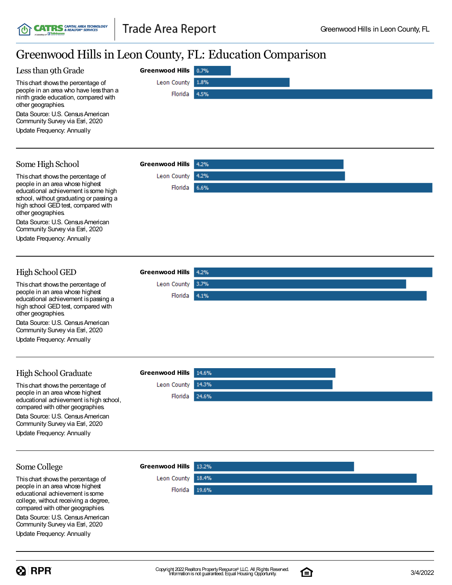# Greenwood Hills in Leon County, FL: Education Comparison

**Greenwood Hills**

Leon County

4.2%

Florida 6.6%

Leon County 3.7% Florida 4.1%

| Less than 9th Grade                                                                                  | Greenwood Hills 0.7% |  |
|------------------------------------------------------------------------------------------------------|----------------------|--|
| This chart shows the percentage of                                                                   | Leon County 1.8%     |  |
| people in an area who have less than a<br>ninth grade education, compared with<br>other geographies. | Florida 4.5%         |  |
| Data Source: U.S. Census American<br>Community Survey via Esri, 2020                                 |                      |  |
| Update Frequency: Annually                                                                           |                      |  |
|                                                                                                      |                      |  |

### Some High School

Thischart showsthe percentage of people in an area whose highest educational achievement is some high school, without graduating or passing a high school GED test, compared with other geographies.

**CATRS** SAPITAL AREA TECHNOLOGY

Data Source: U.S. Census American Community Survey via Esri, 2020

Update Frequency: Annually

#### High School GED **Greenwood Hills**

Thischart showsthe percentage of people in an area whose highest educational achievement ispassing a high school GED test, compared with other geographies.

Data Source: U.S. Census American Community Survey via Esri, 2020

Update Frequency: Annually

#### High School Graduate **Greenwood Hills** This chart shows the percentage of Leon County 14.3% people in an area whose highest Florida 24.6% educational achievement is high school. compared with other geographies. Data Source: U.S. Census American Community Survey via Esri, 2020 Update Frequency: Annually

### Some College

Thischart showsthe percentage of people in an area whose highest educational achievement issome college, without receiving a degree, compared with other geographies.

Data Source: U.S. Census American Community Survey via Esri, 2020

Update Frequency: Annually





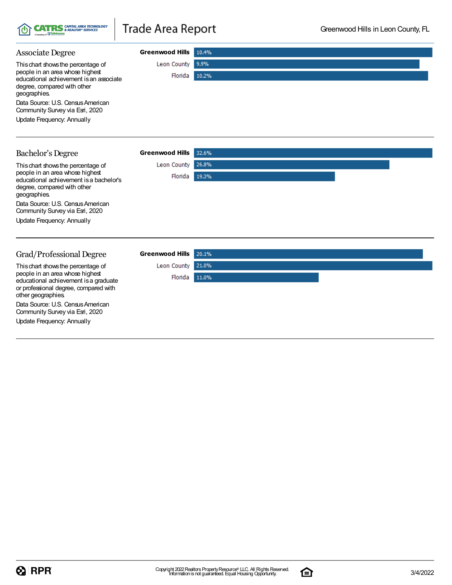|  | <b>TOT CATRS</b> & REALTOR® SERVICES<br>A Subsidiary of <b>IH Tallahassee</b> |
|--|-------------------------------------------------------------------------------|
|--|-------------------------------------------------------------------------------|

# Trade Area Report

| <b>Associate Degree</b>                                                                                                                                                                                                                                               | <b>Greenwood Hills</b> | 10.4%          |
|-----------------------------------------------------------------------------------------------------------------------------------------------------------------------------------------------------------------------------------------------------------------------|------------------------|----------------|
| This chart shows the percentage of<br>people in an area whose highest<br>educational achievement is an associate<br>degree, compared with other<br>geographies.<br>Data Source: U.S. Census American<br>Community Survey via Esri, 2020<br>Update Frequency: Annually | Leon County<br>Florida | 9.9%<br>10.2%  |
| <b>Bachelor's Degree</b>                                                                                                                                                                                                                                              | <b>Greenwood Hills</b> | 32.6%          |
| This chart shows the percentage of<br>people in an area whose highest<br>educational achievement is a bachelor's<br>degree, compared with other<br>geographies.<br>Data Source: U.S. Census American<br>Community Survey via Esri, 2020<br>Update Frequency: Annually | Leon County<br>Florida | 26.8%<br>19.3% |
| Grad/Professional Degree                                                                                                                                                                                                                                              | <b>Greenwood Hills</b> | 20.1%          |

Leon County 21.0% Florida 11.0%

Thischart showsthe percentage of people in an area whose highest educational achievement isa graduate or professional degree, compared with other geographies. Data Source: U.S. Census American

Community Survey via Esri, 2020 Update Frequency: Annually

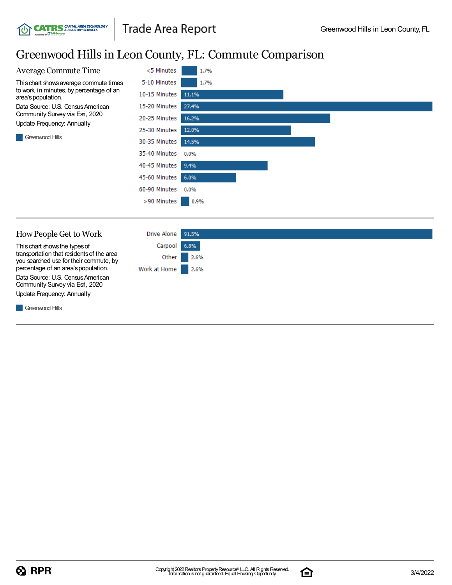## Greenwood Hillsin Leon County, FL: Commute Comparison



Thischart showsthe typesof transportation that residentsof the area you searched use for their commute, by percentage of an area's population. Data Source: U.S. Census American Community Survey via Esri, 2020 Update Frequency: Annually

**CATRS** CAPITAL AREA TECHNOLOGY

| Drive Alone 91.5% |            |
|-------------------|------------|
| Carpool 6.8%      |            |
|                   | Other 2.6% |
| Work at Home 2.6% |            |
|                   |            |

**Greenwood Hills** 

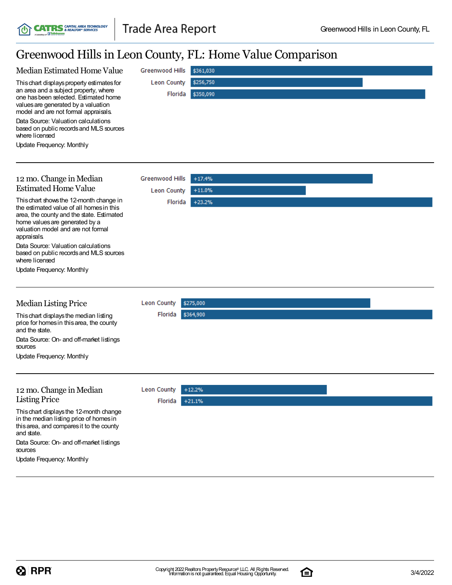**CATRS** CAPITAL AREA TECHNOLOGY

# Greenwood Hills in Leon County, FL: Home Value Comparison

| Median Estimated Home Value                                                                                                                                                                                 | Greenwood Hills    | \$361,030 |  |
|-------------------------------------------------------------------------------------------------------------------------------------------------------------------------------------------------------------|--------------------|-----------|--|
| This chart displays property estimates for<br>an area and a subject property, where<br>one has been selected. Estimated home<br>values are generated by a valuation<br>model and are not formal appraisals. | Leon County        | \$256,750 |  |
|                                                                                                                                                                                                             | Florida            | \$350,090 |  |
| Data Source: Valuation calculations<br>based on public records and MLS sources<br>where licensed                                                                                                            |                    |           |  |
| Update Frequency: Monthly                                                                                                                                                                                   |                    |           |  |
|                                                                                                                                                                                                             |                    |           |  |
|                                                                                                                                                                                                             | Greenwood Hills    | $+17.4%$  |  |
| 12 mo. Change in Median<br><b>Estimated Home Value</b>                                                                                                                                                      |                    | $+11.0%$  |  |
| This chart shows the 12-month change in                                                                                                                                                                     | Leon County        |           |  |
| the estimated value of all homes in this<br>area, the county and the state. Estimated<br>home values are generated by a<br>valuation model and are not formal<br>appraisals.                                | Florida            | $+23.2%$  |  |
| Data Source: Valuation calculations<br>based on public records and MLS sources<br>where licensed                                                                                                            |                    |           |  |
| <b>Update Frequency: Monthly</b>                                                                                                                                                                            |                    |           |  |
|                                                                                                                                                                                                             |                    |           |  |
| <b>Median Listing Price</b>                                                                                                                                                                                 | Leon County        | \$275,000 |  |
| This chart displays the median listing<br>price for homes in this area, the county<br>and the state.                                                                                                        | Florida            | \$364,900 |  |
| Data Source: On- and off-market listings<br>sources                                                                                                                                                         |                    |           |  |
| Update Frequency: Monthly                                                                                                                                                                                   |                    |           |  |
|                                                                                                                                                                                                             |                    |           |  |
| 12 mo. Change in Median                                                                                                                                                                                     | <b>Leon County</b> | $+12.2%$  |  |
| <b>Listing Price</b>                                                                                                                                                                                        | Florida            | $+21.1%$  |  |
| This chart displays the 12-month change<br>in the median listing price of homes in<br>this area, and compares it to the county<br>and state.                                                                |                    |           |  |
| Data Source: On- and off-market listings<br>sources                                                                                                                                                         |                    |           |  |
| Update Frequency: Monthly                                                                                                                                                                                   |                    |           |  |